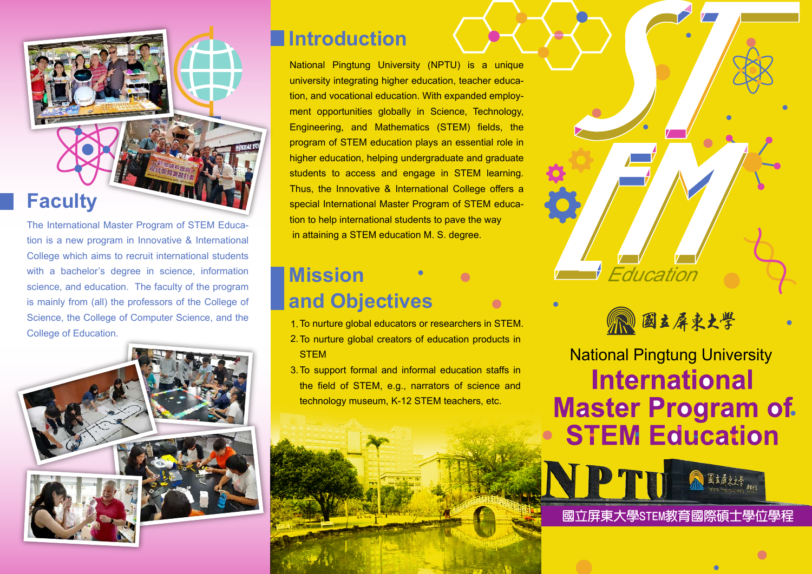

The International Master Program of STEM Education is a new program in Innovative & International College which aims to recruit international students with a bachelor's degree in science, information science, and education. The faculty of the program is mainly from (all) the professors of the College of Science, the College of Computer Science, and the College of Education.



### **Introduction**

National Pingtung University (NPTU) is a unique university integrating higher education, teacher education, and vocational education. With expanded employment opportunities globally in Science, Technology, Engineering, and Mathematics (STEM) fields, the program of STEM education plays an essential role in higher education, helping undergraduate and graduate students to access and engage in STEM learning. Thus, the Innovative & International College offers a special International Master Program of STEM education to help international students to pave the way in attaining a STEM education M. S. degree.

## **Mission and Objectives**

- 1. To nurture global educators or researchers in STEM.
- 2. To nurture global creators of education products in **STEM**
- 3. To support formal and informal education staffs in the field of STEM, e.g., narrators of science and technology museum, K-12 STEM teachers, etc.





National Pingtung University **International Master Program of. STEM Education** 

**NPTH 國立屏東大學STEM教育國際碩士學位學程**